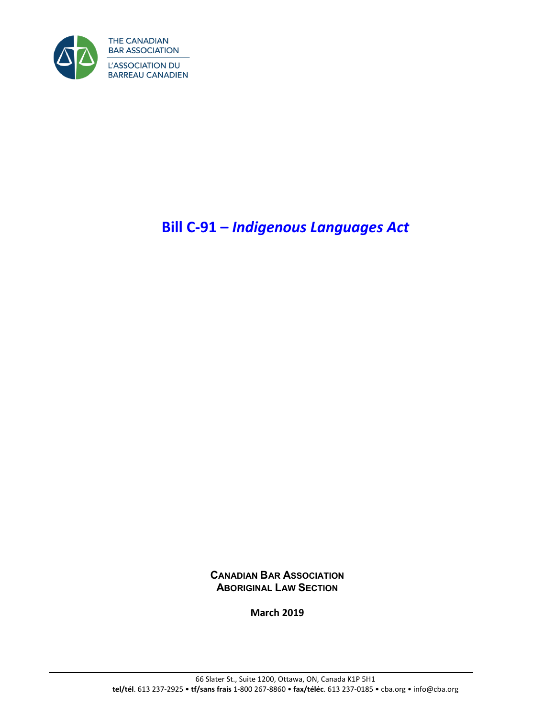

# **Bill C-91 –** *Indigenous Languages Act*

**CANADIAN BAR ASSOCIATION ABORIGINAL LAW SECTION**

**March 2019**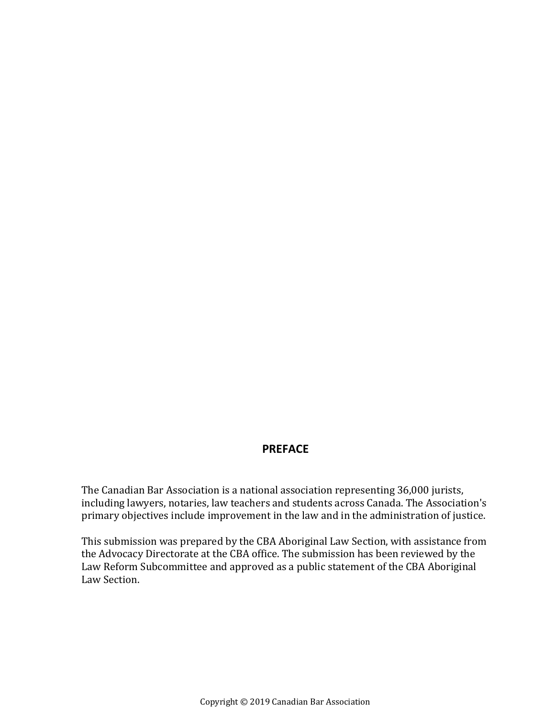#### **PREFACE**

The Canadian Bar Association is a national association representing 36,000 jurists, including lawyers, notaries, law teachers and students across Canada. The Association's primary objectives include improvement in the law and in the administration of justice.

This submission was prepared by the CBA Aboriginal Law Section, with assistance from the Advocacy Directorate at the CBA office. The submission has been reviewed by the Law Reform Subcommittee and approved as a public statement of the CBA Aboriginal Law Section.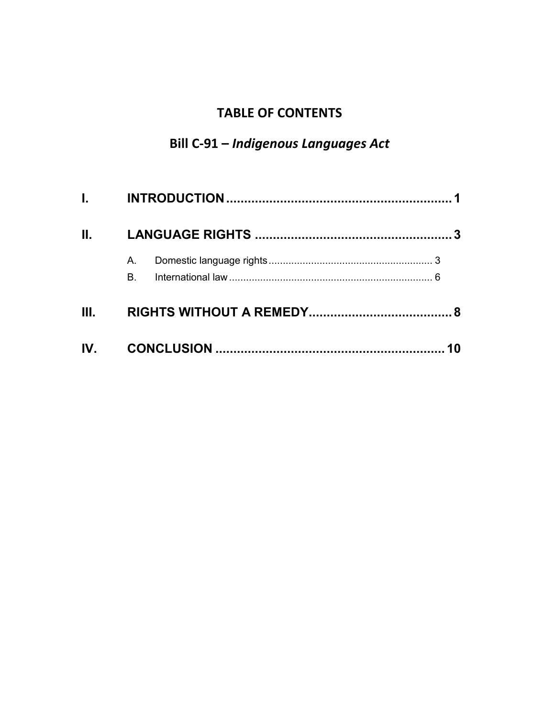# **TABLE OF CONTENTS**

# **Bill C-91 –** *Indigenous Languages Act*

| $\mathbf{II}$ , $\mathbf{III}$ |          |  |
|--------------------------------|----------|--|
|                                | А.<br>B. |  |
| III.                           |          |  |
|                                |          |  |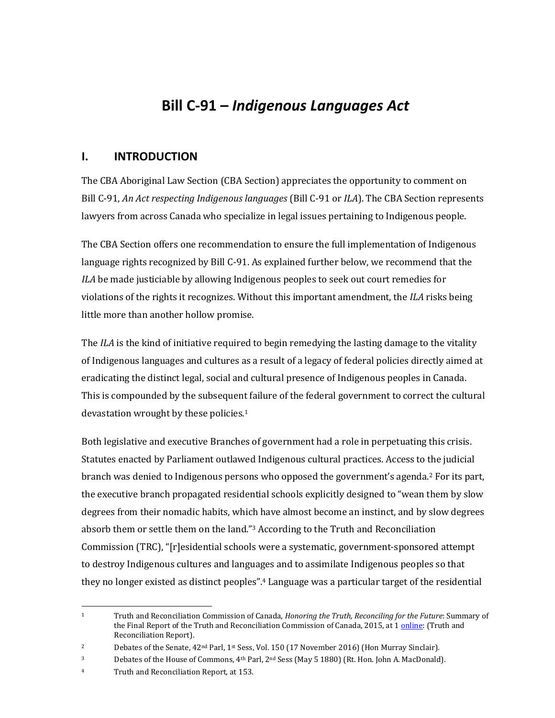# **Bill C-91 –** *Indigenous Languages Act*

#### <span id="page-3-0"></span>**I. INTRODUCTION**

The CBA Aboriginal Law Section (CBA Section) appreciates the opportunity to comment on Bill C-91, *An Act respecting Indigenous languages* (Bill C-91 or *ILA*). The CBA Section represents lawyers from across Canada who specialize in legal issues pertaining to Indigenous people.

The CBA Section offers one recommendation to ensure the full implementation of Indigenous language rights recognized by Bill C-91. As explained further below, we recommend that the *ILA* be made justiciable by allowing Indigenous peoples to seek out court remedies for violations of the rights it recognizes. Without this important amendment, the *ILA* risks being little more than another hollow promise.

The *ILA* is the kind of initiative required to begin remedying the lasting damage to the vitality of Indigenous languages and cultures as a result of a legacy of federal policies directly aimed at eradicating the distinct legal, social and cultural presence of Indigenous peoples in Canada. This is compounded by the subsequent failure of the federal government to correct the cultural devastation wrought by these policies.<sup>1</sup>

Both legislative and executive Branches of government had a role in perpetuating this crisis. Statutes enacted by Parliament outlawed Indigenous cultural practices. Access to the judicial branch was denied to Indigenous persons who opposed the government's agenda.<sup>2</sup> For its part, the executive branch propagated residential schools explicitly designed to "wean them by slow degrees from their nomadic habits, which have almost become an instinct, and by slow degrees absorb them or settle them on the land."<sup>3</sup> According to the Truth and Reconciliation Commission (TRC), "[r]esidential schools were a systematic, government-sponsored attempt to destroy Indigenous cultures and languages and to assimilate Indigenous peoples so that they no longer existed as distinct peoples".<sup>4</sup> Language was a particular target of the residential

 $\overline{\phantom{a}}$ <sup>1</sup> Truth and Reconciliation Commission of Canada, *Honoring the Truth, Reconciling for the Future*: Summary of the Final Report of the Truth and Reconciliation Commission of Canada, 2015, at [1 online:](http://nctr.ca/assets/reports/Final%20Reports/Executive_Summary_English_Web.pdf) (Truth and Reconciliation Report).

<sup>2</sup> Debates of the Senate, 42<sup>nd</sup> Parl, 1<sup>st</sup> Sess, Vol. 150 (17 November 2016) (Hon Murray Sinclair).

<sup>3</sup> Debates of the House of Commons, 4th Parl, 2nd Sess (May 5 1880) (Rt. Hon. John A. MacDonald).

<sup>4</sup> Truth and Reconciliation Report, at 153.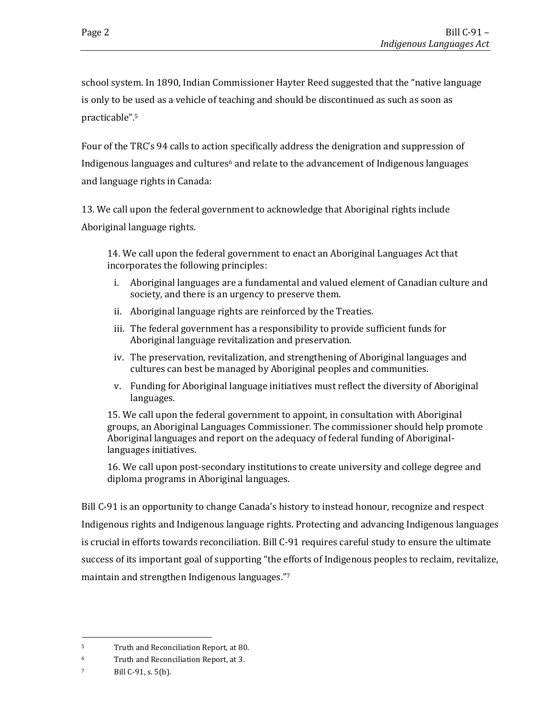school system. In 1890, Indian Commissioner Hayter Reed suggested that the "native language is only to be used as a vehicle of teaching and should be discontinued as such as soon as practicable".<sup>5</sup>

Four of the TRC's 94 calls to action specifically address the denigration and suppression of Indigenous languages and cultures<sup>6</sup> and relate to the advancement of Indigenous languages and language rights in Canada:

13. We call upon the federal government to acknowledge that Aboriginal rights include Aboriginal language rights.

14. We call upon the federal government to enact an Aboriginal Languages Act that incorporates the following principles:

- i. Aboriginal languages are a fundamental and valued element of Canadian culture and society, and there is an urgency to preserve them.
- ii. Aboriginal language rights are reinforced by the Treaties.
- iii. The federal government has a responsibility to provide sufficient funds for Aboriginal language revitalization and preservation.
- iv. The preservation, revitalization, and strengthening of Aboriginal languages and cultures can best be managed by Aboriginal peoples and communities.
- v. Funding for Aboriginal language initiatives must reflect the diversity of Aboriginal languages.

15. We call upon the federal government to appoint, in consultation with Aboriginal groups, an Aboriginal Languages Commissioner. The commissioner should help promote Aboriginal languages and report on the adequacy of federal funding of Aboriginallanguages initiatives.

16. We call upon post-secondary institutions to create university and college degree and diploma programs in Aboriginal languages.

Bill C-91 is an opportunity to change Canada's history to instead honour, recognize and respect Indigenous rights and Indigenous language rights. Protecting and advancing Indigenous languages is crucial in efforts towards reconciliation. Bill C-91 requires careful study to ensure the ultimate success of its important goal of supporting "the efforts of Indigenous peoples to reclaim, revitalize, maintain and strengthen Indigenous languages."<sup>7</sup>

 $\overline{\phantom{a}}$ <sup>5</sup> Truth and Reconciliation Report, at 80.

<sup>6</sup> Truth and Reconciliation Report, at 3.

<sup>7</sup> Bill C-91, s. 5(b).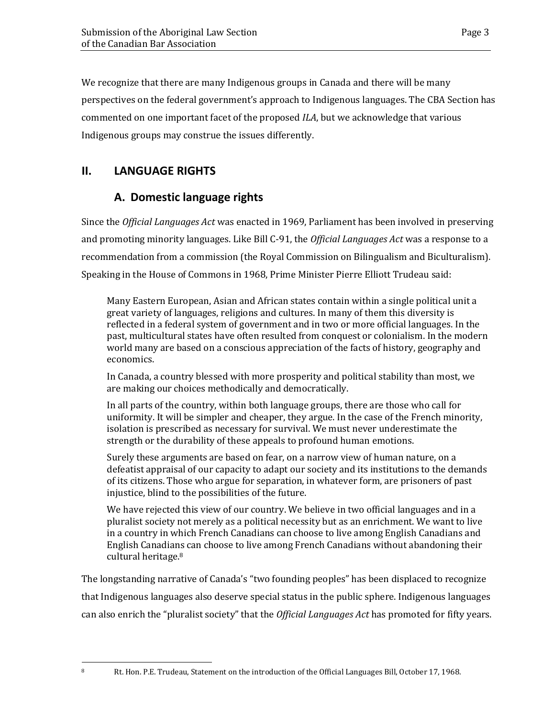We recognize that there are many Indigenous groups in Canada and there will be many perspectives on the federal government's approach to Indigenous languages. The CBA Section has commented on one important facet of the proposed *ILA*, but we acknowledge that various Indigenous groups may construe the issues differently.

## <span id="page-5-1"></span><span id="page-5-0"></span>**II. LANGUAGE RIGHTS**

### **A. Domestic language rights**

Since the *Official Languages Act* was enacted in 1969, Parliament has been involved in preserving and promoting minority languages. Like Bill C-91, the *Official Languages Act* was a response to a recommendation from a commission (the Royal Commission on Bilingualism and Biculturalism). Speaking in the House of Commons in 1968, Prime Minister Pierre Elliott Trudeau said:

Many Eastern European, Asian and African states contain within a single political unit a great variety of languages, religions and cultures. In many of them this diversity is reflected in a federal system of government and in two or more official languages. In the past, multicultural states have often resulted from conquest or colonialism. In the modern world many are based on a conscious appreciation of the facts of history, geography and economics.

In Canada, a country blessed with more prosperity and political stability than most, we are making our choices methodically and democratically.

In all parts of the country, within both language groups, there are those who call for uniformity. It will be simpler and cheaper, they argue. In the case of the French minority, isolation is prescribed as necessary for survival. We must never underestimate the strength or the durability of these appeals to profound human emotions.

Surely these arguments are based on fear, on a narrow view of human nature, on a defeatist appraisal of our capacity to adapt our society and its institutions to the demands of its citizens. Those who argue for separation, in whatever form, are prisoners of past injustice, blind to the possibilities of the future.

We have rejected this view of our country. We believe in two official languages and in a pluralist society not merely as a political necessity but as an enrichment. We want to live in a country in which French Canadians can choose to live among English Canadians and English Canadians can choose to live among French Canadians without abandoning their cultural heritage.<sup>8</sup>

The longstanding narrative of Canada's "two founding peoples" has been displaced to recognize that Indigenous languages also deserve special status in the public sphere. Indigenous languages can also enrich the "pluralist society" that the *Official Languages Act* has promoted for fifty years.

l

<sup>8</sup> Rt. Hon. P.E. Trudeau, Statement on the introduction of the Official Languages Bill, October 17, 1968.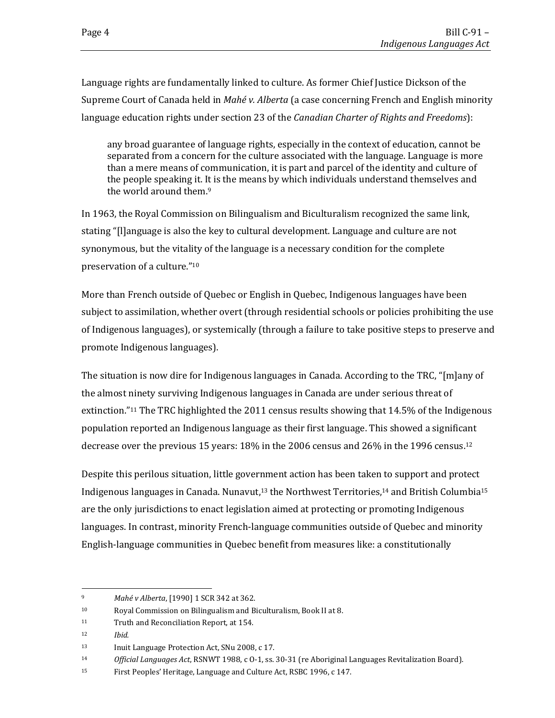Language rights are fundamentally linked to culture. As former Chief Justice Dickson of the Supreme Court of Canada held in *Mahé v. Alberta* (a case concerning French and English minority language education rights under section 23 of the *Canadian Charter of Rights and Freedoms*):

any broad guarantee of language rights, especially in the context of education, cannot be separated from a concern for the culture associated with the language. Language is more than a mere means of communication, it is part and parcel of the identity and culture of the people speaking it. It is the means by which individuals understand themselves and the world around them.<sup>9</sup>

In 1963, the Royal Commission on Bilingualism and Biculturalism recognized the same link, stating "[l]anguage is also the key to cultural development. Language and culture are not synonymous, but the vitality of the language is a necessary condition for the complete preservation of a culture."<sup>10</sup>

More than French outside of Quebec or English in Quebec, Indigenous languages have been subject to assimilation, whether overt (through residential schools or policies prohibiting the use of Indigenous languages), or systemically (through a failure to take positive steps to preserve and promote Indigenous languages).

The situation is now dire for Indigenous languages in Canada. According to the TRC, "[m]any of the almost ninety surviving Indigenous languages in Canada are under serious threat of extinction."<sup>11</sup> The TRC highlighted the 2011 census results showing that 14.5% of the Indigenous population reported an Indigenous language as their first language. This showed a significant decrease over the previous 15 years: 18% in the 2006 census and 26% in the 1996 census.<sup>12</sup>

Despite this perilous situation, little government action has been taken to support and protect Indigenous languages in Canada. Nunavut,<sup>13</sup> the Northwest Territories,<sup>14</sup> and British Columbia<sup>15</sup> are the only jurisdictions to enact legislation aimed at protecting or promoting Indigenous languages. In contrast, minority French-language communities outside of Quebec and minority English-language communities in Quebec benefit from measures like: a constitutionally

<sup>12</sup> *Ibid.*

<sup>9</sup> *Mahé v Alberta*, [1990] 1 SCR 342 at 362.

<sup>10</sup> Royal Commission on Bilingualism and Biculturalism, Book II at 8.

<sup>11</sup> Truth and Reconciliation Report, at 154.

<sup>13</sup> Inuit Language Protection Act, SNu 2008, c 17.

<sup>14</sup> *Official Languages Act*, RSNWT 1988, c O-1, ss. 30-31 (re Aboriginal Languages Revitalization Board).

<sup>15</sup> First Peoples' Heritage, Language and Culture Act, RSBC 1996, c 147.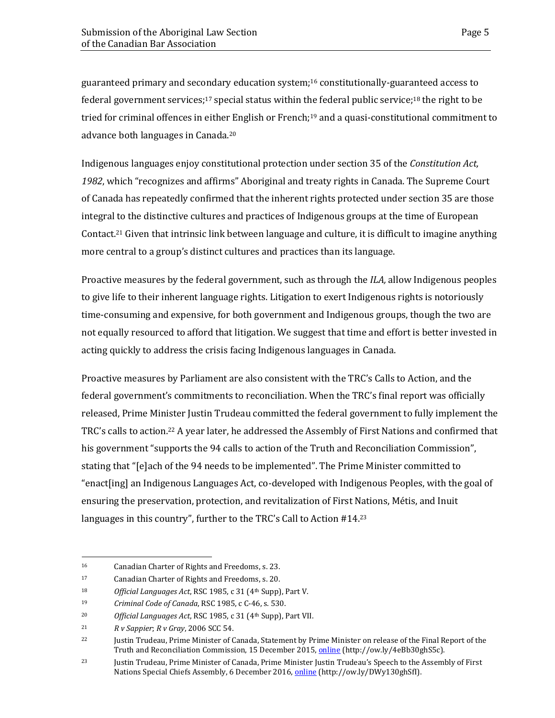guaranteed primary and secondary education system;<sup>16</sup> constitutionally-guaranteed access to federal government services;<sup>17</sup> special status within the federal public service;<sup>18</sup> the right to be tried for criminal offences in either English or French;<sup>19</sup> and a quasi-constitutional commitment to advance both languages in Canada.<sup>20</sup>

Indigenous languages enjoy constitutional protection under section 35 of the *Constitution Act, 1982*, which "recognizes and affirms" Aboriginal and treaty rights in Canada. The Supreme Court of Canada has repeatedly confirmed that the inherent rights protected under section 35 are those integral to the distinctive cultures and practices of Indigenous groups at the time of European Contact.<sup>21</sup> Given that intrinsic link between language and culture, it is difficult to imagine anything more central to a group's distinct cultures and practices than its language.

Proactive measures by the federal government, such as through the *ILA,* allow Indigenous peoples to give life to their inherent language rights. Litigation to exert Indigenous rights is notoriously time-consuming and expensive, for both government and Indigenous groups, though the two are not equally resourced to afford that litigation. We suggest that time and effort is better invested in acting quickly to address the crisis facing Indigenous languages in Canada.

Proactive measures by Parliament are also consistent with the TRC's Calls to Action, and the federal government's commitments to reconciliation. When the TRC's final report was officially released, Prime Minister Justin Trudeau committed the federal government to fully implement the TRC's calls to action.<sup>22</sup> A year later, he addressed the Assembly of First Nations and confirmed that his government "supports the 94 calls to action of the Truth and Reconciliation Commission", stating that "[e]ach of the 94 needs to be implemented". The Prime Minister committed to "enact[ing] an Indigenous Languages Act, co-developed with Indigenous Peoples, with the goal of ensuring the preservation, protection, and revitalization of First Nations, Métis, and Inuit languages in this country", further to the TRC's Call to Action #14.<sup>23</sup>

 $\overline{\phantom{a}}$ 

<sup>16</sup> Canadian Charter of Rights and Freedoms, s. 23.

<sup>17</sup> Canadian Charter of Rights and Freedoms, s. 20.

<sup>18</sup> *Official Languages Act*, RSC 1985, c 31 (4th Supp), Part V.

<sup>19</sup> *Criminal Code of Canada*, RSC 1985, c C-46, s. 530.

<sup>20</sup> *Official Languages Act*, RSC 1985, c 31 (4th Supp), Part VII.

<sup>21</sup> *R v Sappier*; *R v Gray*, 2006 SCC 54.

<sup>&</sup>lt;sup>22</sup> Justin Trudeau, Prime Minister of Canada, Statement by Prime Minister on release of the Final Report of the Truth and Reconciliation Commission, 15 December 2015, **online** (http://ow.ly/4eBb30ghS5c).

<sup>&</sup>lt;sup>23</sup> Justin Trudeau, Prime Minister of Canada, Prime Minister Justin Trudeau's Speech to the Assembly of First Nations Special Chiefs Assembly, 6 December 2016[, online](https://pm.gc.ca/eng/news/2016/12/06/prime-minister-justin-trudeaus-speech-assembly-first-nations-special-chiefs-assembly) (http://ow.ly/DWy130ghSfI).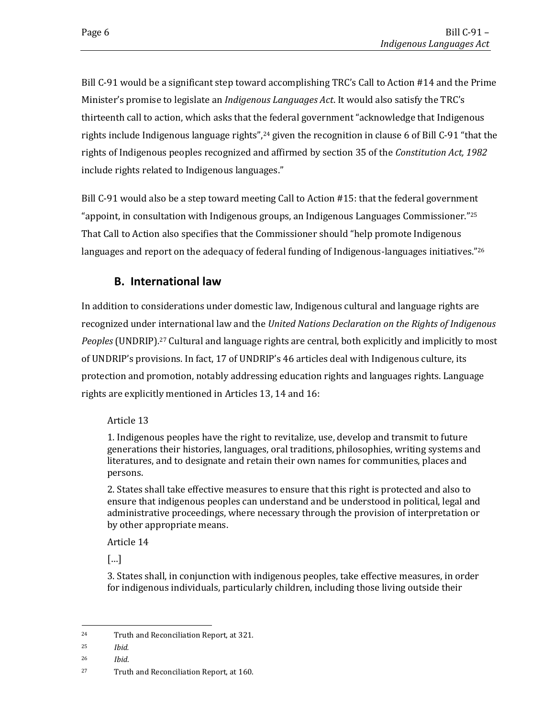Bill C-91 would be a significant step toward accomplishing TRC's Call to Action #14 and the Prime Minister's promise to legislate an *Indigenous Languages Act*. It would also satisfy the TRC's thirteenth call to action, which asks that the federal government "acknowledge that Indigenous rights include Indigenous language rights",<sup>24</sup> given the recognition in clause 6 of Bill C-91 "that the rights of Indigenous peoples recognized and affirmed by section 35 of the *Constitution Act, 1982* include rights related to Indigenous languages."

Bill C-91 would also be a step toward meeting Call to Action #15: that the federal government "appoint, in consultation with Indigenous groups, an Indigenous Languages Commissioner."<sup>25</sup> That Call to Action also specifies that the Commissioner should "help promote Indigenous languages and report on the adequacy of federal funding of Indigenous-languages initiatives." $26$ 

#### **B. International law**

<span id="page-8-0"></span>In addition to considerations under domestic law, Indigenous cultural and language rights are recognized under international law and the *United Nations Declaration on the Rights of Indigenous*  Peoples (UNDRIP).<sup>27</sup> Cultural and language rights are central, both explicitly and implicitly to most of UNDRIP's provisions. In fact, 17 of UNDRIP's 46 articles deal with Indigenous culture, its protection and promotion, notably addressing education rights and languages rights. Language rights are explicitly mentioned in Articles 13, 14 and 16:

#### Article 13

1. Indigenous peoples have the right to revitalize, use, develop and transmit to future generations their histories, languages, oral traditions, philosophies, writing systems and literatures, and to designate and retain their own names for communities, places and persons.

2. States shall take effective measures to ensure that this right is protected and also to ensure that indigenous peoples can understand and be understood in political, legal and administrative proceedings, where necessary through the provision of interpretation or by other appropriate means.

Article 14

[…]

3. States shall, in conjunction with indigenous peoples, take effective measures, in order for indigenous individuals, particularly children, including those living outside their

 $\overline{\phantom{a}}$ 

<sup>24</sup> Truth and Reconciliation Report, at 321.

<sup>25</sup> *Ibid.*

<sup>26</sup> *Ibid*.

<sup>27</sup> Truth and Reconciliation Report, at 160.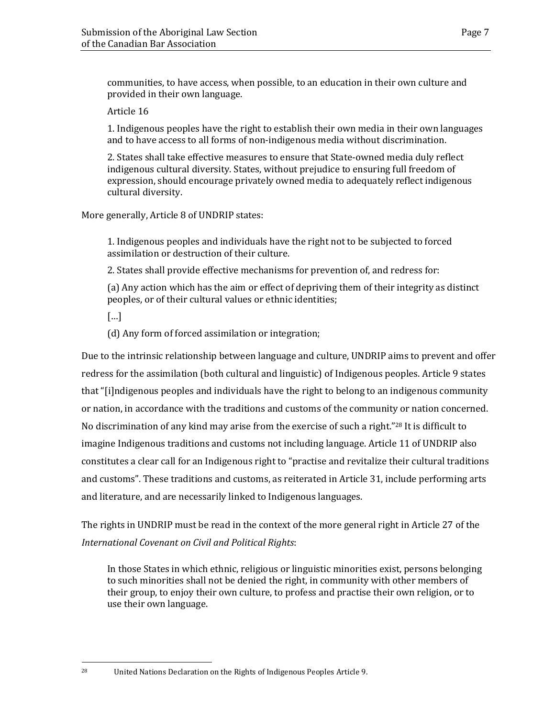communities, to have access, when possible, to an education in their own culture and provided in their own language.

Article 16

1. Indigenous peoples have the right to establish their own media in their own languages and to have access to all forms of non-indigenous media without discrimination.

2. States shall take effective measures to ensure that State-owned media duly reflect indigenous cultural diversity. States, without prejudice to ensuring full freedom of expression, should encourage privately owned media to adequately reflect indigenous cultural diversity.

More generally, Article 8 of UNDRIP states:

1. Indigenous peoples and individuals have the right not to be subjected to forced assimilation or destruction of their culture.

2. States shall provide effective mechanisms for prevention of, and redress for:

(a) Any action which has the aim or effect of depriving them of their integrity as distinct peoples, or of their cultural values or ethnic identities;

[…]

(d) Any form of forced assimilation or integration;

Due to the intrinsic relationship between language and culture, UNDRIP aims to prevent and offer redress for the assimilation (both cultural and linguistic) of Indigenous peoples. Article 9 states that "[i]ndigenous peoples and individuals have the right to belong to an indigenous community or nation, in accordance with the traditions and customs of the community or nation concerned. No discrimination of any kind may arise from the exercise of such a right."<sup>28</sup> It is difficult to imagine Indigenous traditions and customs not including language. Article 11 of UNDRIP also constitutes a clear call for an Indigenous right to "practise and revitalize their cultural traditions and customs". These traditions and customs, as reiterated in Article 31, include performing arts and literature, and are necessarily linked to Indigenous languages.

The rights in UNDRIP must be read in the context of the more general right in Article 27 of the *International Covenant on Civil and Political Rights*:

In those States in which ethnic, religious or linguistic minorities exist, persons belonging to such minorities shall not be denied the right, in community with other members of their group, to enjoy their own culture, to profess and practise their own religion, or to use their own language.

<sup>28</sup> United Nations Declaration on the Rights of Indigenous Peoples Article 9.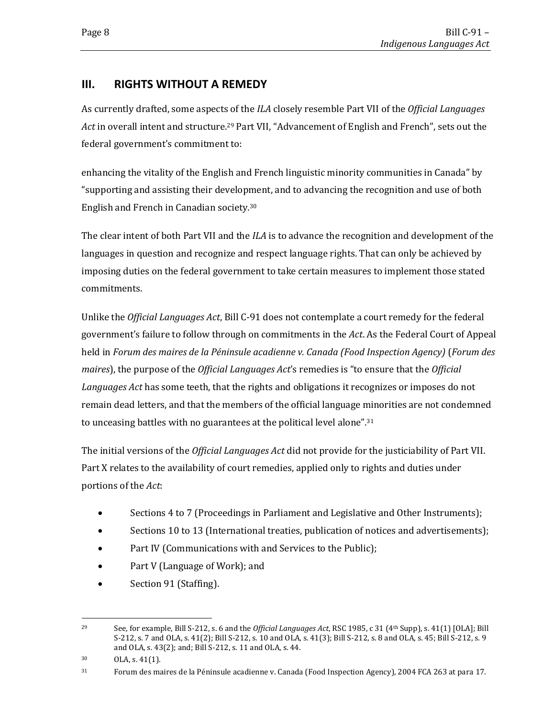### <span id="page-10-0"></span>**III. RIGHTS WITHOUT A REMEDY**

As currently drafted, some aspects of the *ILA* closely resemble Part VII of the *Official Languages Act* in overall intent and structure.<sup>29</sup> Part VII, "Advancement of English and French", sets out the federal government's commitment to:

enhancing the vitality of the English and French linguistic minority communities in Canada" by "supporting and assisting their development, and to advancing the recognition and use of both English and French in Canadian society.<sup>30</sup>

The clear intent of both Part VII and the *ILA* is to advance the recognition and development of the languages in question and recognize and respect language rights. That can only be achieved by imposing duties on the federal government to take certain measures to implement those stated commitments.

Unlike the *Official Languages Act*, Bill C-91 does not contemplate a court remedy for the federal government's failure to follow through on commitments in the *Act*. As the Federal Court of Appeal held in *Forum des maires de la Péninsule acadienne v. Canada (Food Inspection Agency)* (*Forum des maires*), the purpose of the *Official Languages Act*'s remedies is "to ensure that the *Official Languages Act* has some teeth, that the rights and obligations it recognizes or imposes do not remain dead letters, and that the members of the official language minorities are not condemned to unceasing battles with no guarantees at the political level alone".<sup>31</sup>

The initial versions of the *Official Languages Act* did not provide for the justiciability of Part VII. Part X relates to the availability of court remedies, applied only to rights and duties under portions of the *Act*:

- Sections 4 to 7 (Proceedings in Parliament and Legislative and Other Instruments);
- Sections 10 to 13 (International treaties, publication of notices and advertisements);
- Part IV (Communications with and Services to the Public);
- Part V (Language of Work); and
- Section 91 (Staffing).

 $\overline{\phantom{a}}$ <sup>29</sup> See, for example, Bill S-212, s. 6 and the *Official Languages Act*, RSC 1985, c 31 (4th Supp), s. 41(1) [OLA]; Bill S-212, s. 7 and OLA, s. 41(2); Bill S-212, s. 10 and OLA, s. 41(3); Bill S-212, s. 8 and OLA, s. 45; Bill S-212, s. 9 and OLA, s. 43(2); and; Bill S-212, s. 11 and OLA, s. 44.

<sup>30</sup> OLA, s. 41(1).

<sup>31</sup> Forum des maires de la Péninsule acadienne v. Canada (Food Inspection Agency), 2004 FCA 263 at para 17.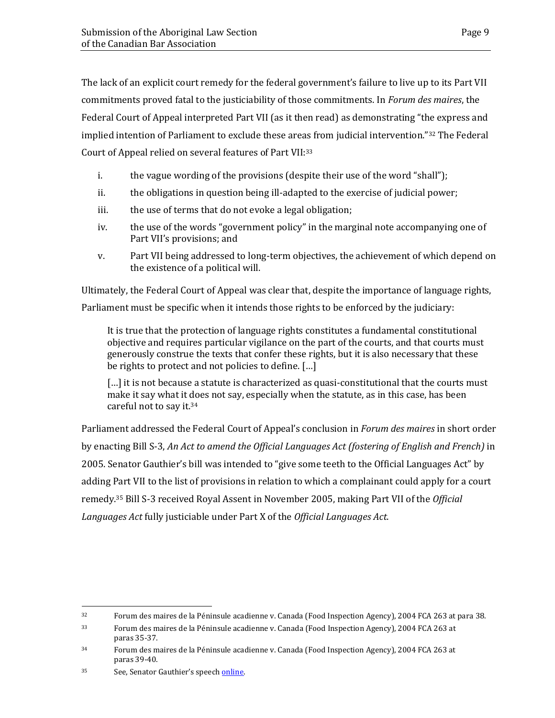The lack of an explicit court remedy for the federal government's failure to live up to its Part VII commitments proved fatal to the justiciability of those commitments. In *Forum des maires*, the Federal Court of Appeal interpreted Part VII (as it then read) as demonstrating "the express and implied intention of Parliament to exclude these areas from judicial intervention."<sup>32</sup> The Federal Court of Appeal relied on several features of Part VII:<sup>33</sup>

- i. the vague wording of the provisions (despite their use of the word "shall");
- ii. the obligations in question being ill-adapted to the exercise of judicial power;
- iii. the use of terms that do not evoke a legal obligation;
- iv. the use of the words "government policy" in the marginal note accompanying one of Part VII's provisions; and
- v. Part VII being addressed to long-term objectives, the achievement of which depend on the existence of a political will.

Ultimately, the Federal Court of Appeal was clear that, despite the importance of language rights, Parliament must be specific when it intends those rights to be enforced by the judiciary:

It is true that the protection of language rights constitutes a fundamental constitutional objective and requires particular vigilance on the part of the courts, and that courts must generously construe the texts that confer these rights, but it is also necessary that these be rights to protect and not policies to define. […]

[...] it is not because a statute is characterized as quasi-constitutional that the courts must make it say what it does not say, especially when the statute, as in this case, has been careful not to say it.<sup>34</sup>

Parliament addressed the Federal Court of Appeal's conclusion in *Forum des maires* in short order by enacting Bill S-3, *An Act to amend the Official Languages Act (fostering of English and French)* in 2005. Senator Gauthier's bill was intended to "give some teeth to the Official Languages Act" by adding Part VII to the list of provisions in relation to which a complainant could apply for a court remedy.<sup>35</sup> Bill S-3 received Royal Assent in November 2005, making Part VII of the *Official Languages Act* fully justiciable under Part X of the *Official Languages Act*.

 $\overline{\phantom{a}}$ 

<sup>32</sup> Forum des maires de la Péninsule acadienne v. Canada (Food Inspection Agency), 2004 FCA 263 at para 38.

<sup>33</sup> Forum des maires de la Péninsule acadienne v. Canada (Food Inspection Agency), 2004 FCA 263 at paras 35-37.

<sup>34</sup> Forum des maires de la Péninsule acadienne v. Canada (Food Inspection Agency), 2004 FCA 263 at paras 39-40.

<sup>35</sup> See, Senator Gauthier's speech [online.](https://sencanada.ca/en/content/sen/chamber/381/debates/003db_2004-10-06-e)